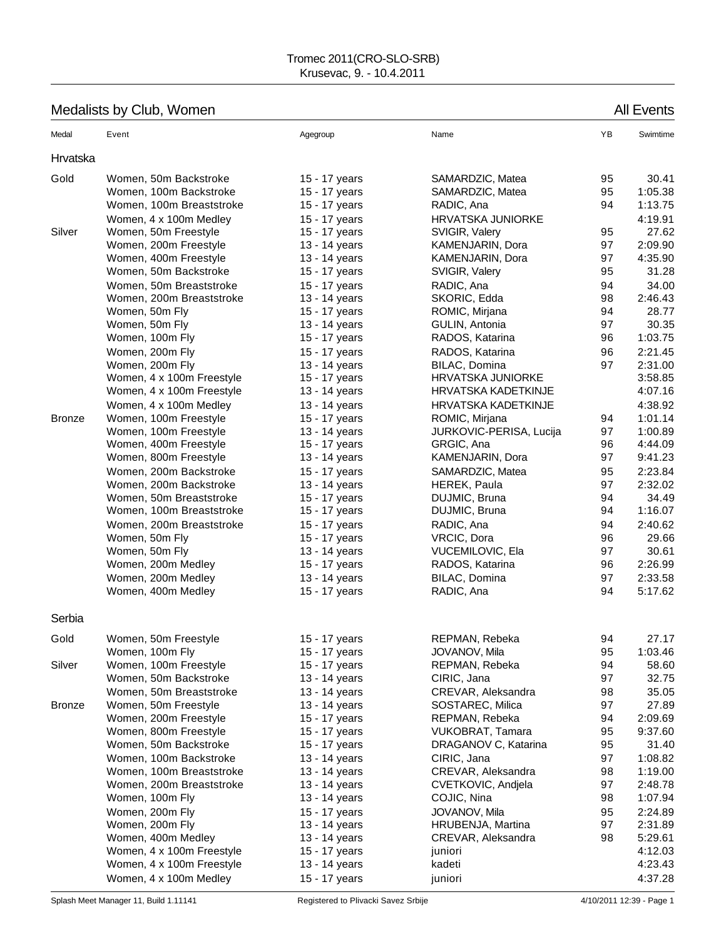# Medalists by Club, Women All Events

| Hrvatska<br>Gold<br>30.41<br>Women, 50m Backstroke<br>SAMARDZIC, Matea<br>95<br>15 - 17 years<br>95<br>1:05.38<br>Women, 100m Backstroke<br>15 - 17 years<br>SAMARDZIC, Matea<br>1:13.75<br>Women, 100m Breaststroke<br>RADIC, Ana<br>94<br>15 - 17 years<br><b>HRVATSKA JUNIORKE</b><br>4:19.91<br>Women, 4 x 100m Medley<br>15 - 17 years<br>27.62<br>Silver<br>Women, 50m Freestyle<br>15 - 17 years<br>SVIGIR, Valery<br>95<br>2:09.90<br>Women, 200m Freestyle<br>13 - 14 years<br>KAMENJARIN, Dora<br>97<br>4:35.90<br>Women, 400m Freestyle<br>KAMENJARIN, Dora<br>97<br>13 - 14 years<br>95<br>31.28<br>Women, 50m Backstroke<br>15 - 17 years<br>SVIGIR, Valery<br>Women, 50m Breaststroke<br>15 - 17 years<br>RADIC, Ana<br>94<br>34.00<br>SKORIC, Edda<br>2:46.43<br>Women, 200m Breaststroke<br>13 - 14 years<br>98<br>28.77<br>Women, 50m Fly<br>94<br>15 - 17 years<br>ROMIC, Mirjana<br>30.35<br>GULIN, Antonia<br>97<br>Women, 50m Fly<br>13 - 14 years<br>1:03.75<br>Women, 100m Fly<br>RADOS, Katarina<br>96<br>15 - 17 years<br>RADOS, Katarina<br>96<br>2:21.45<br>Women, 200m Fly<br>15 - 17 years<br>97<br>2:31.00<br>Women, 200m Fly<br>13 - 14 years<br>BILAC, Domina<br>3:58.85<br>Women, 4 x 100m Freestyle<br>15 - 17 years<br><b>HRVATSKA JUNIORKE</b><br>4:07.16<br>Women, 4 x 100m Freestyle<br>13 - 14 years<br>HRVATSKA KADETKINJE<br>Women, 4 x 100m Medley<br>HRVATSKA KADETKINJE<br>4:38.92<br>13 - 14 years<br>1:01.14<br><b>Bronze</b><br>Women, 100m Freestyle<br>ROMIC, Mirjana<br>94<br>15 - 17 years<br>1:00.89<br>Women, 100m Freestyle<br>13 - 14 years<br>JURKOVIC-PERISA, Lucija<br>97<br>4:44.09<br>Women, 400m Freestyle<br>GRGIC, Ana<br>96<br>15 - 17 years<br>KAMENJARIN, Dora<br>97<br>9:41.23<br>Women, 800m Freestyle<br>13 - 14 years<br>2:23.84<br>Women, 200m Backstroke<br>95<br>15 - 17 years<br>SAMARDZIC, Matea<br>2:32.02<br>Women, 200m Backstroke<br>13 - 14 years<br>HEREK, Paula<br>97<br>34.49<br>Women, 50m Breaststroke<br>DUJMIC, Bruna<br>94<br>15 - 17 years<br>1:16.07<br>Women, 100m Breaststroke<br>94<br>DUJMIC, Bruna<br>15 - 17 years<br>RADIC, Ana<br>2:40.62<br>Women, 200m Breaststroke<br>15 - 17 years<br>94<br>VRCIC, Dora<br>96<br>29.66<br>Women, 50m Fly<br>15 - 17 years<br>30.61<br>Women, 50m Fly<br>13 - 14 years<br>VUCEMILOVIC, Ela<br>97<br>2:26.99<br>Women, 200m Medley<br>96<br>15 - 17 years<br>RADOS, Katarina<br>Women, 200m Medley<br>BILAC, Domina<br>97<br>2:33.58<br>13 - 14 years<br>15 - 17 years<br>94<br>5:17.62<br>Women, 400m Medley<br>RADIC, Ana<br>Serbia<br>27.17<br>Gold<br>Women, 50m Freestyle<br>REPMAN, Rebeka<br>94<br>15 - 17 years<br>95<br>JOVANOV, Mila<br>1:03.46<br>Women, 100m Fly<br>15 - 17 years<br>REPMAN, Rebeka<br>Silver<br>Women, 100m Freestyle<br>94<br>58.60<br>15 - 17 years<br>Women, 50m Backstroke<br>13 - 14 years<br>CIRIC, Jana<br>97<br>32.75<br>35.05<br>Women, 50m Breaststroke<br>13 - 14 years<br>CREVAR, Aleksandra<br>98<br>97<br>Women, 50m Freestyle<br>13 - 14 years<br>SOSTAREC, Milica<br>27.89<br><b>Bronze</b><br>Women, 200m Freestyle<br>15 - 17 years<br>94<br>2:09.69<br>REPMAN, Rebeka<br>95<br>9:37.60<br>Women, 800m Freestyle<br>15 - 17 years<br>VUKOBRAT, Tamara<br>95<br>31.40<br>Women, 50m Backstroke<br>15 - 17 years<br>DRAGANOV C, Katarina<br>Women, 100m Backstroke<br>13 - 14 years<br>CIRIC, Jana<br>97<br>1:08.82<br>Women, 100m Breaststroke<br>13 - 14 years<br>CREVAR, Aleksandra<br>98<br>1:19.00<br>13 - 14 years<br>CVETKOVIC, Andjela<br>97<br>2:48.78<br>Women, 200m Breaststroke<br>98<br>1:07.94<br>Women, 100m Fly<br>13 - 14 years<br>COJIC, Nina<br>Women, 200m Fly<br>95<br>15 - 17 years<br>JOVANOV, Mila<br>2:24.89<br>Women, 200m Fly<br>13 - 14 years<br>HRUBENJA, Martina<br>97<br>2:31.89<br>Women, 400m Medley<br>98<br>5:29.61<br>13 - 14 years<br>CREVAR, Aleksandra<br>Women, 4 x 100m Freestyle<br>4:12.03<br>15 - 17 years<br>juniori<br>Women, 4 x 100m Freestyle<br>13 - 14 years<br>4:23.43<br>kadeti | Medal | Event                  | Agegroup      | Name    | YB | Swimtime |
|-----------------------------------------------------------------------------------------------------------------------------------------------------------------------------------------------------------------------------------------------------------------------------------------------------------------------------------------------------------------------------------------------------------------------------------------------------------------------------------------------------------------------------------------------------------------------------------------------------------------------------------------------------------------------------------------------------------------------------------------------------------------------------------------------------------------------------------------------------------------------------------------------------------------------------------------------------------------------------------------------------------------------------------------------------------------------------------------------------------------------------------------------------------------------------------------------------------------------------------------------------------------------------------------------------------------------------------------------------------------------------------------------------------------------------------------------------------------------------------------------------------------------------------------------------------------------------------------------------------------------------------------------------------------------------------------------------------------------------------------------------------------------------------------------------------------------------------------------------------------------------------------------------------------------------------------------------------------------------------------------------------------------------------------------------------------------------------------------------------------------------------------------------------------------------------------------------------------------------------------------------------------------------------------------------------------------------------------------------------------------------------------------------------------------------------------------------------------------------------------------------------------------------------------------------------------------------------------------------------------------------------------------------------------------------------------------------------------------------------------------------------------------------------------------------------------------------------------------------------------------------------------------------------------------------------------------------------------------------------------------------------------------------------------------------------------------------------------------------------------------------------------------------------------------------------------------------------------------------------------------------------------------------------------------------------------------------------------------------------------------------------------------------------------------------------------------------------------------------------------------------------------------------------------------------------------------------------------------------------------------------------------------------------------------------------------------------------------------------------------------------------------------------------------------------------------------------------------------------------------------------------------------------------------------------------------------------------------------------------------------------------------------|-------|------------------------|---------------|---------|----|----------|
|                                                                                                                                                                                                                                                                                                                                                                                                                                                                                                                                                                                                                                                                                                                                                                                                                                                                                                                                                                                                                                                                                                                                                                                                                                                                                                                                                                                                                                                                                                                                                                                                                                                                                                                                                                                                                                                                                                                                                                                                                                                                                                                                                                                                                                                                                                                                                                                                                                                                                                                                                                                                                                                                                                                                                                                                                                                                                                                                                                                                                                                                                                                                                                                                                                                                                                                                                                                                                                                                                                                                                                                                                                                                                                                                                                                                                                                                                                                                                                                                                       |       |                        |               |         |    |          |
|                                                                                                                                                                                                                                                                                                                                                                                                                                                                                                                                                                                                                                                                                                                                                                                                                                                                                                                                                                                                                                                                                                                                                                                                                                                                                                                                                                                                                                                                                                                                                                                                                                                                                                                                                                                                                                                                                                                                                                                                                                                                                                                                                                                                                                                                                                                                                                                                                                                                                                                                                                                                                                                                                                                                                                                                                                                                                                                                                                                                                                                                                                                                                                                                                                                                                                                                                                                                                                                                                                                                                                                                                                                                                                                                                                                                                                                                                                                                                                                                                       |       |                        |               |         |    |          |
|                                                                                                                                                                                                                                                                                                                                                                                                                                                                                                                                                                                                                                                                                                                                                                                                                                                                                                                                                                                                                                                                                                                                                                                                                                                                                                                                                                                                                                                                                                                                                                                                                                                                                                                                                                                                                                                                                                                                                                                                                                                                                                                                                                                                                                                                                                                                                                                                                                                                                                                                                                                                                                                                                                                                                                                                                                                                                                                                                                                                                                                                                                                                                                                                                                                                                                                                                                                                                                                                                                                                                                                                                                                                                                                                                                                                                                                                                                                                                                                                                       |       |                        |               |         |    |          |
|                                                                                                                                                                                                                                                                                                                                                                                                                                                                                                                                                                                                                                                                                                                                                                                                                                                                                                                                                                                                                                                                                                                                                                                                                                                                                                                                                                                                                                                                                                                                                                                                                                                                                                                                                                                                                                                                                                                                                                                                                                                                                                                                                                                                                                                                                                                                                                                                                                                                                                                                                                                                                                                                                                                                                                                                                                                                                                                                                                                                                                                                                                                                                                                                                                                                                                                                                                                                                                                                                                                                                                                                                                                                                                                                                                                                                                                                                                                                                                                                                       |       |                        |               |         |    |          |
|                                                                                                                                                                                                                                                                                                                                                                                                                                                                                                                                                                                                                                                                                                                                                                                                                                                                                                                                                                                                                                                                                                                                                                                                                                                                                                                                                                                                                                                                                                                                                                                                                                                                                                                                                                                                                                                                                                                                                                                                                                                                                                                                                                                                                                                                                                                                                                                                                                                                                                                                                                                                                                                                                                                                                                                                                                                                                                                                                                                                                                                                                                                                                                                                                                                                                                                                                                                                                                                                                                                                                                                                                                                                                                                                                                                                                                                                                                                                                                                                                       |       |                        |               |         |    |          |
|                                                                                                                                                                                                                                                                                                                                                                                                                                                                                                                                                                                                                                                                                                                                                                                                                                                                                                                                                                                                                                                                                                                                                                                                                                                                                                                                                                                                                                                                                                                                                                                                                                                                                                                                                                                                                                                                                                                                                                                                                                                                                                                                                                                                                                                                                                                                                                                                                                                                                                                                                                                                                                                                                                                                                                                                                                                                                                                                                                                                                                                                                                                                                                                                                                                                                                                                                                                                                                                                                                                                                                                                                                                                                                                                                                                                                                                                                                                                                                                                                       |       |                        |               |         |    |          |
|                                                                                                                                                                                                                                                                                                                                                                                                                                                                                                                                                                                                                                                                                                                                                                                                                                                                                                                                                                                                                                                                                                                                                                                                                                                                                                                                                                                                                                                                                                                                                                                                                                                                                                                                                                                                                                                                                                                                                                                                                                                                                                                                                                                                                                                                                                                                                                                                                                                                                                                                                                                                                                                                                                                                                                                                                                                                                                                                                                                                                                                                                                                                                                                                                                                                                                                                                                                                                                                                                                                                                                                                                                                                                                                                                                                                                                                                                                                                                                                                                       |       |                        |               |         |    |          |
|                                                                                                                                                                                                                                                                                                                                                                                                                                                                                                                                                                                                                                                                                                                                                                                                                                                                                                                                                                                                                                                                                                                                                                                                                                                                                                                                                                                                                                                                                                                                                                                                                                                                                                                                                                                                                                                                                                                                                                                                                                                                                                                                                                                                                                                                                                                                                                                                                                                                                                                                                                                                                                                                                                                                                                                                                                                                                                                                                                                                                                                                                                                                                                                                                                                                                                                                                                                                                                                                                                                                                                                                                                                                                                                                                                                                                                                                                                                                                                                                                       |       |                        |               |         |    |          |
|                                                                                                                                                                                                                                                                                                                                                                                                                                                                                                                                                                                                                                                                                                                                                                                                                                                                                                                                                                                                                                                                                                                                                                                                                                                                                                                                                                                                                                                                                                                                                                                                                                                                                                                                                                                                                                                                                                                                                                                                                                                                                                                                                                                                                                                                                                                                                                                                                                                                                                                                                                                                                                                                                                                                                                                                                                                                                                                                                                                                                                                                                                                                                                                                                                                                                                                                                                                                                                                                                                                                                                                                                                                                                                                                                                                                                                                                                                                                                                                                                       |       |                        |               |         |    |          |
|                                                                                                                                                                                                                                                                                                                                                                                                                                                                                                                                                                                                                                                                                                                                                                                                                                                                                                                                                                                                                                                                                                                                                                                                                                                                                                                                                                                                                                                                                                                                                                                                                                                                                                                                                                                                                                                                                                                                                                                                                                                                                                                                                                                                                                                                                                                                                                                                                                                                                                                                                                                                                                                                                                                                                                                                                                                                                                                                                                                                                                                                                                                                                                                                                                                                                                                                                                                                                                                                                                                                                                                                                                                                                                                                                                                                                                                                                                                                                                                                                       |       |                        |               |         |    |          |
|                                                                                                                                                                                                                                                                                                                                                                                                                                                                                                                                                                                                                                                                                                                                                                                                                                                                                                                                                                                                                                                                                                                                                                                                                                                                                                                                                                                                                                                                                                                                                                                                                                                                                                                                                                                                                                                                                                                                                                                                                                                                                                                                                                                                                                                                                                                                                                                                                                                                                                                                                                                                                                                                                                                                                                                                                                                                                                                                                                                                                                                                                                                                                                                                                                                                                                                                                                                                                                                                                                                                                                                                                                                                                                                                                                                                                                                                                                                                                                                                                       |       |                        |               |         |    |          |
|                                                                                                                                                                                                                                                                                                                                                                                                                                                                                                                                                                                                                                                                                                                                                                                                                                                                                                                                                                                                                                                                                                                                                                                                                                                                                                                                                                                                                                                                                                                                                                                                                                                                                                                                                                                                                                                                                                                                                                                                                                                                                                                                                                                                                                                                                                                                                                                                                                                                                                                                                                                                                                                                                                                                                                                                                                                                                                                                                                                                                                                                                                                                                                                                                                                                                                                                                                                                                                                                                                                                                                                                                                                                                                                                                                                                                                                                                                                                                                                                                       |       |                        |               |         |    |          |
|                                                                                                                                                                                                                                                                                                                                                                                                                                                                                                                                                                                                                                                                                                                                                                                                                                                                                                                                                                                                                                                                                                                                                                                                                                                                                                                                                                                                                                                                                                                                                                                                                                                                                                                                                                                                                                                                                                                                                                                                                                                                                                                                                                                                                                                                                                                                                                                                                                                                                                                                                                                                                                                                                                                                                                                                                                                                                                                                                                                                                                                                                                                                                                                                                                                                                                                                                                                                                                                                                                                                                                                                                                                                                                                                                                                                                                                                                                                                                                                                                       |       |                        |               |         |    |          |
|                                                                                                                                                                                                                                                                                                                                                                                                                                                                                                                                                                                                                                                                                                                                                                                                                                                                                                                                                                                                                                                                                                                                                                                                                                                                                                                                                                                                                                                                                                                                                                                                                                                                                                                                                                                                                                                                                                                                                                                                                                                                                                                                                                                                                                                                                                                                                                                                                                                                                                                                                                                                                                                                                                                                                                                                                                                                                                                                                                                                                                                                                                                                                                                                                                                                                                                                                                                                                                                                                                                                                                                                                                                                                                                                                                                                                                                                                                                                                                                                                       |       |                        |               |         |    |          |
|                                                                                                                                                                                                                                                                                                                                                                                                                                                                                                                                                                                                                                                                                                                                                                                                                                                                                                                                                                                                                                                                                                                                                                                                                                                                                                                                                                                                                                                                                                                                                                                                                                                                                                                                                                                                                                                                                                                                                                                                                                                                                                                                                                                                                                                                                                                                                                                                                                                                                                                                                                                                                                                                                                                                                                                                                                                                                                                                                                                                                                                                                                                                                                                                                                                                                                                                                                                                                                                                                                                                                                                                                                                                                                                                                                                                                                                                                                                                                                                                                       |       |                        |               |         |    |          |
|                                                                                                                                                                                                                                                                                                                                                                                                                                                                                                                                                                                                                                                                                                                                                                                                                                                                                                                                                                                                                                                                                                                                                                                                                                                                                                                                                                                                                                                                                                                                                                                                                                                                                                                                                                                                                                                                                                                                                                                                                                                                                                                                                                                                                                                                                                                                                                                                                                                                                                                                                                                                                                                                                                                                                                                                                                                                                                                                                                                                                                                                                                                                                                                                                                                                                                                                                                                                                                                                                                                                                                                                                                                                                                                                                                                                                                                                                                                                                                                                                       |       |                        |               |         |    |          |
|                                                                                                                                                                                                                                                                                                                                                                                                                                                                                                                                                                                                                                                                                                                                                                                                                                                                                                                                                                                                                                                                                                                                                                                                                                                                                                                                                                                                                                                                                                                                                                                                                                                                                                                                                                                                                                                                                                                                                                                                                                                                                                                                                                                                                                                                                                                                                                                                                                                                                                                                                                                                                                                                                                                                                                                                                                                                                                                                                                                                                                                                                                                                                                                                                                                                                                                                                                                                                                                                                                                                                                                                                                                                                                                                                                                                                                                                                                                                                                                                                       |       |                        |               |         |    |          |
|                                                                                                                                                                                                                                                                                                                                                                                                                                                                                                                                                                                                                                                                                                                                                                                                                                                                                                                                                                                                                                                                                                                                                                                                                                                                                                                                                                                                                                                                                                                                                                                                                                                                                                                                                                                                                                                                                                                                                                                                                                                                                                                                                                                                                                                                                                                                                                                                                                                                                                                                                                                                                                                                                                                                                                                                                                                                                                                                                                                                                                                                                                                                                                                                                                                                                                                                                                                                                                                                                                                                                                                                                                                                                                                                                                                                                                                                                                                                                                                                                       |       |                        |               |         |    |          |
|                                                                                                                                                                                                                                                                                                                                                                                                                                                                                                                                                                                                                                                                                                                                                                                                                                                                                                                                                                                                                                                                                                                                                                                                                                                                                                                                                                                                                                                                                                                                                                                                                                                                                                                                                                                                                                                                                                                                                                                                                                                                                                                                                                                                                                                                                                                                                                                                                                                                                                                                                                                                                                                                                                                                                                                                                                                                                                                                                                                                                                                                                                                                                                                                                                                                                                                                                                                                                                                                                                                                                                                                                                                                                                                                                                                                                                                                                                                                                                                                                       |       |                        |               |         |    |          |
|                                                                                                                                                                                                                                                                                                                                                                                                                                                                                                                                                                                                                                                                                                                                                                                                                                                                                                                                                                                                                                                                                                                                                                                                                                                                                                                                                                                                                                                                                                                                                                                                                                                                                                                                                                                                                                                                                                                                                                                                                                                                                                                                                                                                                                                                                                                                                                                                                                                                                                                                                                                                                                                                                                                                                                                                                                                                                                                                                                                                                                                                                                                                                                                                                                                                                                                                                                                                                                                                                                                                                                                                                                                                                                                                                                                                                                                                                                                                                                                                                       |       |                        |               |         |    |          |
|                                                                                                                                                                                                                                                                                                                                                                                                                                                                                                                                                                                                                                                                                                                                                                                                                                                                                                                                                                                                                                                                                                                                                                                                                                                                                                                                                                                                                                                                                                                                                                                                                                                                                                                                                                                                                                                                                                                                                                                                                                                                                                                                                                                                                                                                                                                                                                                                                                                                                                                                                                                                                                                                                                                                                                                                                                                                                                                                                                                                                                                                                                                                                                                                                                                                                                                                                                                                                                                                                                                                                                                                                                                                                                                                                                                                                                                                                                                                                                                                                       |       |                        |               |         |    |          |
|                                                                                                                                                                                                                                                                                                                                                                                                                                                                                                                                                                                                                                                                                                                                                                                                                                                                                                                                                                                                                                                                                                                                                                                                                                                                                                                                                                                                                                                                                                                                                                                                                                                                                                                                                                                                                                                                                                                                                                                                                                                                                                                                                                                                                                                                                                                                                                                                                                                                                                                                                                                                                                                                                                                                                                                                                                                                                                                                                                                                                                                                                                                                                                                                                                                                                                                                                                                                                                                                                                                                                                                                                                                                                                                                                                                                                                                                                                                                                                                                                       |       |                        |               |         |    |          |
|                                                                                                                                                                                                                                                                                                                                                                                                                                                                                                                                                                                                                                                                                                                                                                                                                                                                                                                                                                                                                                                                                                                                                                                                                                                                                                                                                                                                                                                                                                                                                                                                                                                                                                                                                                                                                                                                                                                                                                                                                                                                                                                                                                                                                                                                                                                                                                                                                                                                                                                                                                                                                                                                                                                                                                                                                                                                                                                                                                                                                                                                                                                                                                                                                                                                                                                                                                                                                                                                                                                                                                                                                                                                                                                                                                                                                                                                                                                                                                                                                       |       |                        |               |         |    |          |
|                                                                                                                                                                                                                                                                                                                                                                                                                                                                                                                                                                                                                                                                                                                                                                                                                                                                                                                                                                                                                                                                                                                                                                                                                                                                                                                                                                                                                                                                                                                                                                                                                                                                                                                                                                                                                                                                                                                                                                                                                                                                                                                                                                                                                                                                                                                                                                                                                                                                                                                                                                                                                                                                                                                                                                                                                                                                                                                                                                                                                                                                                                                                                                                                                                                                                                                                                                                                                                                                                                                                                                                                                                                                                                                                                                                                                                                                                                                                                                                                                       |       |                        |               |         |    |          |
|                                                                                                                                                                                                                                                                                                                                                                                                                                                                                                                                                                                                                                                                                                                                                                                                                                                                                                                                                                                                                                                                                                                                                                                                                                                                                                                                                                                                                                                                                                                                                                                                                                                                                                                                                                                                                                                                                                                                                                                                                                                                                                                                                                                                                                                                                                                                                                                                                                                                                                                                                                                                                                                                                                                                                                                                                                                                                                                                                                                                                                                                                                                                                                                                                                                                                                                                                                                                                                                                                                                                                                                                                                                                                                                                                                                                                                                                                                                                                                                                                       |       |                        |               |         |    |          |
|                                                                                                                                                                                                                                                                                                                                                                                                                                                                                                                                                                                                                                                                                                                                                                                                                                                                                                                                                                                                                                                                                                                                                                                                                                                                                                                                                                                                                                                                                                                                                                                                                                                                                                                                                                                                                                                                                                                                                                                                                                                                                                                                                                                                                                                                                                                                                                                                                                                                                                                                                                                                                                                                                                                                                                                                                                                                                                                                                                                                                                                                                                                                                                                                                                                                                                                                                                                                                                                                                                                                                                                                                                                                                                                                                                                                                                                                                                                                                                                                                       |       |                        |               |         |    |          |
|                                                                                                                                                                                                                                                                                                                                                                                                                                                                                                                                                                                                                                                                                                                                                                                                                                                                                                                                                                                                                                                                                                                                                                                                                                                                                                                                                                                                                                                                                                                                                                                                                                                                                                                                                                                                                                                                                                                                                                                                                                                                                                                                                                                                                                                                                                                                                                                                                                                                                                                                                                                                                                                                                                                                                                                                                                                                                                                                                                                                                                                                                                                                                                                                                                                                                                                                                                                                                                                                                                                                                                                                                                                                                                                                                                                                                                                                                                                                                                                                                       |       |                        |               |         |    |          |
|                                                                                                                                                                                                                                                                                                                                                                                                                                                                                                                                                                                                                                                                                                                                                                                                                                                                                                                                                                                                                                                                                                                                                                                                                                                                                                                                                                                                                                                                                                                                                                                                                                                                                                                                                                                                                                                                                                                                                                                                                                                                                                                                                                                                                                                                                                                                                                                                                                                                                                                                                                                                                                                                                                                                                                                                                                                                                                                                                                                                                                                                                                                                                                                                                                                                                                                                                                                                                                                                                                                                                                                                                                                                                                                                                                                                                                                                                                                                                                                                                       |       |                        |               |         |    |          |
|                                                                                                                                                                                                                                                                                                                                                                                                                                                                                                                                                                                                                                                                                                                                                                                                                                                                                                                                                                                                                                                                                                                                                                                                                                                                                                                                                                                                                                                                                                                                                                                                                                                                                                                                                                                                                                                                                                                                                                                                                                                                                                                                                                                                                                                                                                                                                                                                                                                                                                                                                                                                                                                                                                                                                                                                                                                                                                                                                                                                                                                                                                                                                                                                                                                                                                                                                                                                                                                                                                                                                                                                                                                                                                                                                                                                                                                                                                                                                                                                                       |       |                        |               |         |    |          |
|                                                                                                                                                                                                                                                                                                                                                                                                                                                                                                                                                                                                                                                                                                                                                                                                                                                                                                                                                                                                                                                                                                                                                                                                                                                                                                                                                                                                                                                                                                                                                                                                                                                                                                                                                                                                                                                                                                                                                                                                                                                                                                                                                                                                                                                                                                                                                                                                                                                                                                                                                                                                                                                                                                                                                                                                                                                                                                                                                                                                                                                                                                                                                                                                                                                                                                                                                                                                                                                                                                                                                                                                                                                                                                                                                                                                                                                                                                                                                                                                                       |       |                        |               |         |    |          |
|                                                                                                                                                                                                                                                                                                                                                                                                                                                                                                                                                                                                                                                                                                                                                                                                                                                                                                                                                                                                                                                                                                                                                                                                                                                                                                                                                                                                                                                                                                                                                                                                                                                                                                                                                                                                                                                                                                                                                                                                                                                                                                                                                                                                                                                                                                                                                                                                                                                                                                                                                                                                                                                                                                                                                                                                                                                                                                                                                                                                                                                                                                                                                                                                                                                                                                                                                                                                                                                                                                                                                                                                                                                                                                                                                                                                                                                                                                                                                                                                                       |       |                        |               |         |    |          |
|                                                                                                                                                                                                                                                                                                                                                                                                                                                                                                                                                                                                                                                                                                                                                                                                                                                                                                                                                                                                                                                                                                                                                                                                                                                                                                                                                                                                                                                                                                                                                                                                                                                                                                                                                                                                                                                                                                                                                                                                                                                                                                                                                                                                                                                                                                                                                                                                                                                                                                                                                                                                                                                                                                                                                                                                                                                                                                                                                                                                                                                                                                                                                                                                                                                                                                                                                                                                                                                                                                                                                                                                                                                                                                                                                                                                                                                                                                                                                                                                                       |       |                        |               |         |    |          |
|                                                                                                                                                                                                                                                                                                                                                                                                                                                                                                                                                                                                                                                                                                                                                                                                                                                                                                                                                                                                                                                                                                                                                                                                                                                                                                                                                                                                                                                                                                                                                                                                                                                                                                                                                                                                                                                                                                                                                                                                                                                                                                                                                                                                                                                                                                                                                                                                                                                                                                                                                                                                                                                                                                                                                                                                                                                                                                                                                                                                                                                                                                                                                                                                                                                                                                                                                                                                                                                                                                                                                                                                                                                                                                                                                                                                                                                                                                                                                                                                                       |       |                        |               |         |    |          |
|                                                                                                                                                                                                                                                                                                                                                                                                                                                                                                                                                                                                                                                                                                                                                                                                                                                                                                                                                                                                                                                                                                                                                                                                                                                                                                                                                                                                                                                                                                                                                                                                                                                                                                                                                                                                                                                                                                                                                                                                                                                                                                                                                                                                                                                                                                                                                                                                                                                                                                                                                                                                                                                                                                                                                                                                                                                                                                                                                                                                                                                                                                                                                                                                                                                                                                                                                                                                                                                                                                                                                                                                                                                                                                                                                                                                                                                                                                                                                                                                                       |       |                        |               |         |    |          |
|                                                                                                                                                                                                                                                                                                                                                                                                                                                                                                                                                                                                                                                                                                                                                                                                                                                                                                                                                                                                                                                                                                                                                                                                                                                                                                                                                                                                                                                                                                                                                                                                                                                                                                                                                                                                                                                                                                                                                                                                                                                                                                                                                                                                                                                                                                                                                                                                                                                                                                                                                                                                                                                                                                                                                                                                                                                                                                                                                                                                                                                                                                                                                                                                                                                                                                                                                                                                                                                                                                                                                                                                                                                                                                                                                                                                                                                                                                                                                                                                                       |       |                        |               |         |    |          |
|                                                                                                                                                                                                                                                                                                                                                                                                                                                                                                                                                                                                                                                                                                                                                                                                                                                                                                                                                                                                                                                                                                                                                                                                                                                                                                                                                                                                                                                                                                                                                                                                                                                                                                                                                                                                                                                                                                                                                                                                                                                                                                                                                                                                                                                                                                                                                                                                                                                                                                                                                                                                                                                                                                                                                                                                                                                                                                                                                                                                                                                                                                                                                                                                                                                                                                                                                                                                                                                                                                                                                                                                                                                                                                                                                                                                                                                                                                                                                                                                                       |       |                        |               |         |    |          |
|                                                                                                                                                                                                                                                                                                                                                                                                                                                                                                                                                                                                                                                                                                                                                                                                                                                                                                                                                                                                                                                                                                                                                                                                                                                                                                                                                                                                                                                                                                                                                                                                                                                                                                                                                                                                                                                                                                                                                                                                                                                                                                                                                                                                                                                                                                                                                                                                                                                                                                                                                                                                                                                                                                                                                                                                                                                                                                                                                                                                                                                                                                                                                                                                                                                                                                                                                                                                                                                                                                                                                                                                                                                                                                                                                                                                                                                                                                                                                                                                                       |       |                        |               |         |    |          |
|                                                                                                                                                                                                                                                                                                                                                                                                                                                                                                                                                                                                                                                                                                                                                                                                                                                                                                                                                                                                                                                                                                                                                                                                                                                                                                                                                                                                                                                                                                                                                                                                                                                                                                                                                                                                                                                                                                                                                                                                                                                                                                                                                                                                                                                                                                                                                                                                                                                                                                                                                                                                                                                                                                                                                                                                                                                                                                                                                                                                                                                                                                                                                                                                                                                                                                                                                                                                                                                                                                                                                                                                                                                                                                                                                                                                                                                                                                                                                                                                                       |       |                        |               |         |    |          |
|                                                                                                                                                                                                                                                                                                                                                                                                                                                                                                                                                                                                                                                                                                                                                                                                                                                                                                                                                                                                                                                                                                                                                                                                                                                                                                                                                                                                                                                                                                                                                                                                                                                                                                                                                                                                                                                                                                                                                                                                                                                                                                                                                                                                                                                                                                                                                                                                                                                                                                                                                                                                                                                                                                                                                                                                                                                                                                                                                                                                                                                                                                                                                                                                                                                                                                                                                                                                                                                                                                                                                                                                                                                                                                                                                                                                                                                                                                                                                                                                                       |       |                        |               |         |    |          |
|                                                                                                                                                                                                                                                                                                                                                                                                                                                                                                                                                                                                                                                                                                                                                                                                                                                                                                                                                                                                                                                                                                                                                                                                                                                                                                                                                                                                                                                                                                                                                                                                                                                                                                                                                                                                                                                                                                                                                                                                                                                                                                                                                                                                                                                                                                                                                                                                                                                                                                                                                                                                                                                                                                                                                                                                                                                                                                                                                                                                                                                                                                                                                                                                                                                                                                                                                                                                                                                                                                                                                                                                                                                                                                                                                                                                                                                                                                                                                                                                                       |       |                        |               |         |    |          |
|                                                                                                                                                                                                                                                                                                                                                                                                                                                                                                                                                                                                                                                                                                                                                                                                                                                                                                                                                                                                                                                                                                                                                                                                                                                                                                                                                                                                                                                                                                                                                                                                                                                                                                                                                                                                                                                                                                                                                                                                                                                                                                                                                                                                                                                                                                                                                                                                                                                                                                                                                                                                                                                                                                                                                                                                                                                                                                                                                                                                                                                                                                                                                                                                                                                                                                                                                                                                                                                                                                                                                                                                                                                                                                                                                                                                                                                                                                                                                                                                                       |       |                        |               |         |    |          |
|                                                                                                                                                                                                                                                                                                                                                                                                                                                                                                                                                                                                                                                                                                                                                                                                                                                                                                                                                                                                                                                                                                                                                                                                                                                                                                                                                                                                                                                                                                                                                                                                                                                                                                                                                                                                                                                                                                                                                                                                                                                                                                                                                                                                                                                                                                                                                                                                                                                                                                                                                                                                                                                                                                                                                                                                                                                                                                                                                                                                                                                                                                                                                                                                                                                                                                                                                                                                                                                                                                                                                                                                                                                                                                                                                                                                                                                                                                                                                                                                                       |       |                        |               |         |    |          |
|                                                                                                                                                                                                                                                                                                                                                                                                                                                                                                                                                                                                                                                                                                                                                                                                                                                                                                                                                                                                                                                                                                                                                                                                                                                                                                                                                                                                                                                                                                                                                                                                                                                                                                                                                                                                                                                                                                                                                                                                                                                                                                                                                                                                                                                                                                                                                                                                                                                                                                                                                                                                                                                                                                                                                                                                                                                                                                                                                                                                                                                                                                                                                                                                                                                                                                                                                                                                                                                                                                                                                                                                                                                                                                                                                                                                                                                                                                                                                                                                                       |       |                        |               |         |    |          |
|                                                                                                                                                                                                                                                                                                                                                                                                                                                                                                                                                                                                                                                                                                                                                                                                                                                                                                                                                                                                                                                                                                                                                                                                                                                                                                                                                                                                                                                                                                                                                                                                                                                                                                                                                                                                                                                                                                                                                                                                                                                                                                                                                                                                                                                                                                                                                                                                                                                                                                                                                                                                                                                                                                                                                                                                                                                                                                                                                                                                                                                                                                                                                                                                                                                                                                                                                                                                                                                                                                                                                                                                                                                                                                                                                                                                                                                                                                                                                                                                                       |       |                        |               |         |    |          |
|                                                                                                                                                                                                                                                                                                                                                                                                                                                                                                                                                                                                                                                                                                                                                                                                                                                                                                                                                                                                                                                                                                                                                                                                                                                                                                                                                                                                                                                                                                                                                                                                                                                                                                                                                                                                                                                                                                                                                                                                                                                                                                                                                                                                                                                                                                                                                                                                                                                                                                                                                                                                                                                                                                                                                                                                                                                                                                                                                                                                                                                                                                                                                                                                                                                                                                                                                                                                                                                                                                                                                                                                                                                                                                                                                                                                                                                                                                                                                                                                                       |       |                        |               |         |    |          |
|                                                                                                                                                                                                                                                                                                                                                                                                                                                                                                                                                                                                                                                                                                                                                                                                                                                                                                                                                                                                                                                                                                                                                                                                                                                                                                                                                                                                                                                                                                                                                                                                                                                                                                                                                                                                                                                                                                                                                                                                                                                                                                                                                                                                                                                                                                                                                                                                                                                                                                                                                                                                                                                                                                                                                                                                                                                                                                                                                                                                                                                                                                                                                                                                                                                                                                                                                                                                                                                                                                                                                                                                                                                                                                                                                                                                                                                                                                                                                                                                                       |       |                        |               |         |    |          |
|                                                                                                                                                                                                                                                                                                                                                                                                                                                                                                                                                                                                                                                                                                                                                                                                                                                                                                                                                                                                                                                                                                                                                                                                                                                                                                                                                                                                                                                                                                                                                                                                                                                                                                                                                                                                                                                                                                                                                                                                                                                                                                                                                                                                                                                                                                                                                                                                                                                                                                                                                                                                                                                                                                                                                                                                                                                                                                                                                                                                                                                                                                                                                                                                                                                                                                                                                                                                                                                                                                                                                                                                                                                                                                                                                                                                                                                                                                                                                                                                                       |       |                        |               |         |    |          |
|                                                                                                                                                                                                                                                                                                                                                                                                                                                                                                                                                                                                                                                                                                                                                                                                                                                                                                                                                                                                                                                                                                                                                                                                                                                                                                                                                                                                                                                                                                                                                                                                                                                                                                                                                                                                                                                                                                                                                                                                                                                                                                                                                                                                                                                                                                                                                                                                                                                                                                                                                                                                                                                                                                                                                                                                                                                                                                                                                                                                                                                                                                                                                                                                                                                                                                                                                                                                                                                                                                                                                                                                                                                                                                                                                                                                                                                                                                                                                                                                                       |       |                        |               |         |    |          |
|                                                                                                                                                                                                                                                                                                                                                                                                                                                                                                                                                                                                                                                                                                                                                                                                                                                                                                                                                                                                                                                                                                                                                                                                                                                                                                                                                                                                                                                                                                                                                                                                                                                                                                                                                                                                                                                                                                                                                                                                                                                                                                                                                                                                                                                                                                                                                                                                                                                                                                                                                                                                                                                                                                                                                                                                                                                                                                                                                                                                                                                                                                                                                                                                                                                                                                                                                                                                                                                                                                                                                                                                                                                                                                                                                                                                                                                                                                                                                                                                                       |       |                        |               |         |    |          |
|                                                                                                                                                                                                                                                                                                                                                                                                                                                                                                                                                                                                                                                                                                                                                                                                                                                                                                                                                                                                                                                                                                                                                                                                                                                                                                                                                                                                                                                                                                                                                                                                                                                                                                                                                                                                                                                                                                                                                                                                                                                                                                                                                                                                                                                                                                                                                                                                                                                                                                                                                                                                                                                                                                                                                                                                                                                                                                                                                                                                                                                                                                                                                                                                                                                                                                                                                                                                                                                                                                                                                                                                                                                                                                                                                                                                                                                                                                                                                                                                                       |       |                        |               |         |    |          |
|                                                                                                                                                                                                                                                                                                                                                                                                                                                                                                                                                                                                                                                                                                                                                                                                                                                                                                                                                                                                                                                                                                                                                                                                                                                                                                                                                                                                                                                                                                                                                                                                                                                                                                                                                                                                                                                                                                                                                                                                                                                                                                                                                                                                                                                                                                                                                                                                                                                                                                                                                                                                                                                                                                                                                                                                                                                                                                                                                                                                                                                                                                                                                                                                                                                                                                                                                                                                                                                                                                                                                                                                                                                                                                                                                                                                                                                                                                                                                                                                                       |       |                        |               |         |    |          |
|                                                                                                                                                                                                                                                                                                                                                                                                                                                                                                                                                                                                                                                                                                                                                                                                                                                                                                                                                                                                                                                                                                                                                                                                                                                                                                                                                                                                                                                                                                                                                                                                                                                                                                                                                                                                                                                                                                                                                                                                                                                                                                                                                                                                                                                                                                                                                                                                                                                                                                                                                                                                                                                                                                                                                                                                                                                                                                                                                                                                                                                                                                                                                                                                                                                                                                                                                                                                                                                                                                                                                                                                                                                                                                                                                                                                                                                                                                                                                                                                                       |       |                        |               |         |    |          |
|                                                                                                                                                                                                                                                                                                                                                                                                                                                                                                                                                                                                                                                                                                                                                                                                                                                                                                                                                                                                                                                                                                                                                                                                                                                                                                                                                                                                                                                                                                                                                                                                                                                                                                                                                                                                                                                                                                                                                                                                                                                                                                                                                                                                                                                                                                                                                                                                                                                                                                                                                                                                                                                                                                                                                                                                                                                                                                                                                                                                                                                                                                                                                                                                                                                                                                                                                                                                                                                                                                                                                                                                                                                                                                                                                                                                                                                                                                                                                                                                                       |       |                        |               |         |    |          |
|                                                                                                                                                                                                                                                                                                                                                                                                                                                                                                                                                                                                                                                                                                                                                                                                                                                                                                                                                                                                                                                                                                                                                                                                                                                                                                                                                                                                                                                                                                                                                                                                                                                                                                                                                                                                                                                                                                                                                                                                                                                                                                                                                                                                                                                                                                                                                                                                                                                                                                                                                                                                                                                                                                                                                                                                                                                                                                                                                                                                                                                                                                                                                                                                                                                                                                                                                                                                                                                                                                                                                                                                                                                                                                                                                                                                                                                                                                                                                                                                                       |       | Women, 4 x 100m Medley | 15 - 17 years | juniori |    | 4:37.28  |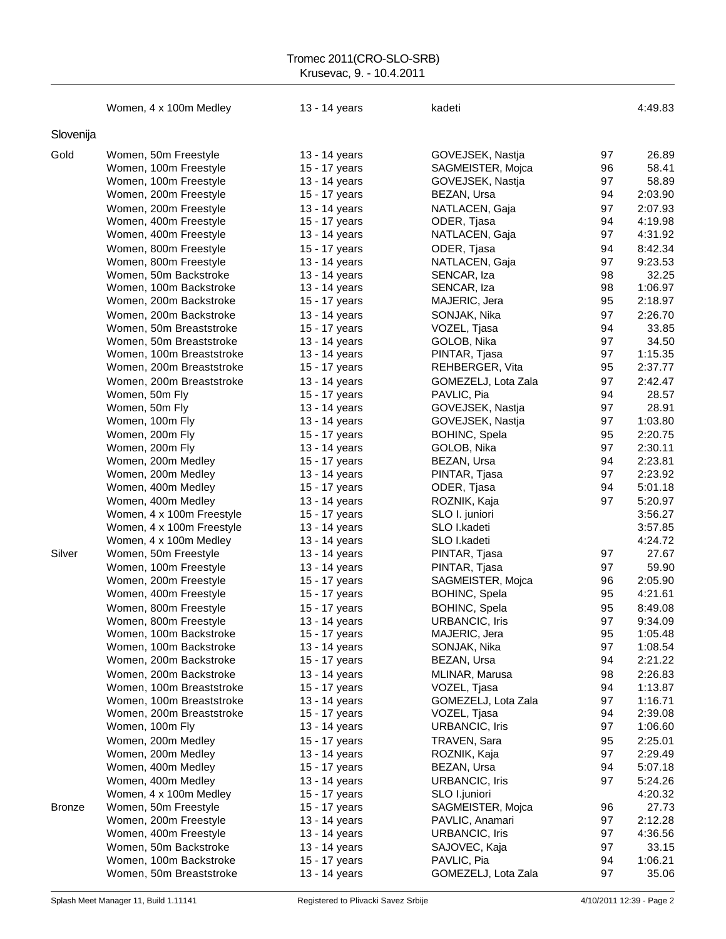### Tromec 2011(CRO-SLO-SRB) Krusevac, 9. - 10.4.2011

|               | Women, 4 x 100m Medley                         | 13 - 14 years                  | kadeti                                |          | 4:49.83          |
|---------------|------------------------------------------------|--------------------------------|---------------------------------------|----------|------------------|
| Slovenija     |                                                |                                |                                       |          |                  |
|               |                                                |                                |                                       |          |                  |
| Gold          | Women, 50m Freestyle<br>Women, 100m Freestyle  | 13 - 14 years                  | GOVEJSEK, Nastja                      | 97<br>96 | 26.89<br>58.41   |
|               | Women, 100m Freestyle                          | 15 - 17 years<br>13 - 14 years | SAGMEISTER, Mojca<br>GOVEJSEK, Nastja | 97       | 58.89            |
|               | Women, 200m Freestyle                          | 15 - 17 years                  | BEZAN, Ursa                           | 94       | 2:03.90          |
|               |                                                | 13 - 14 years                  |                                       | 97       | 2:07.93          |
|               | Women, 200m Freestyle<br>Women, 400m Freestyle | 15 - 17 years                  | NATLACEN, Gaja<br>ODER, Tjasa         | 94       | 4:19.98          |
|               | Women, 400m Freestyle                          | 13 - 14 years                  | NATLACEN, Gaja                        | 97       | 4:31.92          |
|               | Women, 800m Freestyle                          |                                | ODER, Tjasa                           | 94       | 8:42.34          |
|               | Women, 800m Freestyle                          | 15 - 17 years<br>13 - 14 years | NATLACEN, Gaja                        | 97       | 9:23.53          |
|               | Women, 50m Backstroke                          | 13 - 14 years                  | SENCAR, Iza                           | 98       | 32.25            |
|               | Women, 100m Backstroke                         | 13 - 14 years                  | SENCAR, Iza                           | 98       | 1:06.97          |
|               | Women, 200m Backstroke                         | 15 - 17 years                  | MAJERIC, Jera                         | 95       | 2:18.97          |
|               | Women, 200m Backstroke                         | 13 - 14 years                  | SONJAK, Nika                          | 97       | 2:26.70          |
|               | Women, 50m Breaststroke                        | 15 - 17 years                  | VOZEL, Tjasa                          | 94       | 33.85            |
|               | Women, 50m Breaststroke                        | 13 - 14 years                  | GOLOB, Nika                           | 97       | 34.50            |
|               | Women, 100m Breaststroke                       | 13 - 14 years                  | PINTAR, Tjasa                         | 97       | 1:15.35          |
|               | Women, 200m Breaststroke                       | 15 - 17 years                  | REHBERGER, Vita                       | 95       | 2:37.77          |
|               | Women, 200m Breaststroke                       | 13 - 14 years                  | GOMEZELJ, Lota Zala                   | 97       | 2:42.47          |
|               | Women, 50m Fly                                 | 15 - 17 years                  | PAVLIC, Pia                           | 94       | 28.57            |
|               | Women, 50m Fly                                 | 13 - 14 years                  | GOVEJSEK, Nastja                      | 97       | 28.91            |
|               | Women, 100m Fly                                | 13 - 14 years                  | GOVEJSEK, Nastja                      | 97       | 1:03.80          |
|               | Women, 200m Fly                                | 15 - 17 years                  | BOHINC, Spela                         | 95       | 2:20.75          |
|               | Women, 200m Fly                                | 13 - 14 years                  | GOLOB, Nika                           | 97       | 2:30.11          |
|               | Women, 200m Medley                             | 15 - 17 years                  | BEZAN, Ursa                           | 94       | 2:23.81          |
|               | Women, 200m Medley                             | 13 - 14 years                  | PINTAR, Tjasa                         | 97       | 2:23.92          |
|               | Women, 400m Medley                             | 15 - 17 years                  | ODER, Tjasa                           | 94       | 5:01.18          |
|               | Women, 400m Medley                             | 13 - 14 years                  | ROZNIK, Kaja                          | 97       | 5:20.97          |
|               | Women, 4 x 100m Freestyle                      | 15 - 17 years                  | SLO I. juniori                        |          | 3:56.27          |
|               | Women, 4 x 100m Freestyle                      | 13 - 14 years                  | SLO I.kadeti                          |          | 3:57.85          |
|               | Women, 4 x 100m Medley                         | 13 - 14 years                  | SLO I.kadeti                          |          | 4:24.72          |
| Silver        | Women, 50m Freestyle                           | 13 - 14 years                  | PINTAR, Tjasa                         | 97       | 27.67            |
|               | Women, 100m Freestyle                          | 13 - 14 years                  | PINTAR, Tjasa                         | 97       | 59.90            |
|               | Women, 200m Freestyle                          | 15 - 17 years                  | SAGMEISTER, Mojca                     | 96       | 2:05.90          |
|               | Women, 400m Freestyle                          | 15 - 17 years                  | BOHINC, Spela                         | 95       | 4:21.61          |
|               | Women, 800m Freestyle                          | 15 - 17 years                  | <b>BOHINC, Spela</b>                  | 95       | 8:49.08          |
|               | Women, 800m Freestyle                          | 13 - 14 years                  | <b>URBANCIC, Iris</b>                 | 97       | 9:34.09          |
|               | Women, 100m Backstroke                         | 15 - 17 years                  | MAJERIC, Jera                         | 95       | 1:05.48          |
|               | Women, 100m Backstroke                         | 13 - 14 years                  | SONJAK, Nika                          | 97       | 1:08.54          |
|               | Women, 200m Backstroke                         | 15 - 17 years                  | BEZAN, Ursa                           | 94       | 2:21.22          |
|               | Women, 200m Backstroke                         | 13 - 14 years                  | MLINAR, Marusa                        | 98       | 2:26.83          |
|               | Women, 100m Breaststroke                       | 15 - 17 years                  | VOZEL, Tjasa                          | 94       | 1:13.87          |
|               | Women, 100m Breaststroke                       | 13 - 14 years                  | GOMEZELJ, Lota Zala                   | 97       | 1:16.71          |
|               | Women, 200m Breaststroke                       | 15 - 17 years                  | VOZEL, Tjasa                          | 94       | 2:39.08          |
|               | Women, 100m Fly                                | 13 - 14 years                  | URBANCIC, Iris                        | 97       | 1:06.60          |
|               | Women, 200m Medley                             | 15 - 17 years                  | TRAVEN, Sara                          | 95       | 2:25.01          |
|               | Women, 200m Medley                             | 13 - 14 years                  | ROZNIK, Kaja                          | 97       | 2:29.49          |
|               | Women, 400m Medley                             | 15 - 17 years                  | BEZAN, Ursa                           | 94       | 5:07.18          |
|               | Women, 400m Medley                             | 13 - 14 years                  | <b>URBANCIC, Iris</b>                 | 97       | 5:24.26          |
|               | Women, 4 x 100m Medley                         | 15 - 17 years                  | SLO I.juniori                         |          | 4:20.32          |
| <b>Bronze</b> | Women, 50m Freestyle                           | 15 - 17 years                  | SAGMEISTER, Mojca                     | 96       | 27.73            |
|               | Women, 200m Freestyle                          | 13 - 14 years                  | PAVLIC, Anamari                       | 97       | 2:12.28          |
|               | Women, 400m Freestyle                          | 13 - 14 years                  | <b>URBANCIC, Iris</b>                 | 97       | 4:36.56          |
|               | Women, 50m Backstroke                          | 13 - 14 years                  | SAJOVEC, Kaja                         | 97       | 33.15            |
|               | Women, 100m Backstroke                         | 15 - 17 years                  | PAVLIC, Pia                           | 94<br>97 | 1:06.21<br>35.06 |
|               | Women, 50m Breaststroke                        | 13 - 14 years                  | GOMEZELJ, Lota Zala                   |          |                  |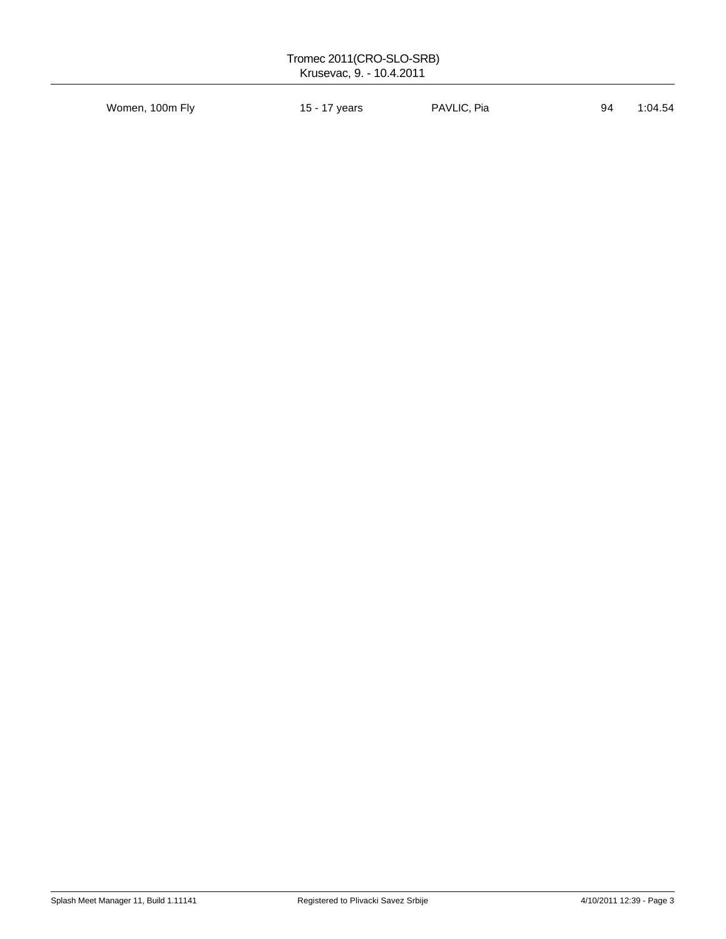| Tromec 2011(CRO-SLO-SRB)<br>Krusevac, 9. - 10.4.2011 |               |             |    |         |  |
|------------------------------------------------------|---------------|-------------|----|---------|--|
| Women, 100m Fly                                      | 15 - 17 years | PAVLIC, Pia | 94 | 1:04.54 |  |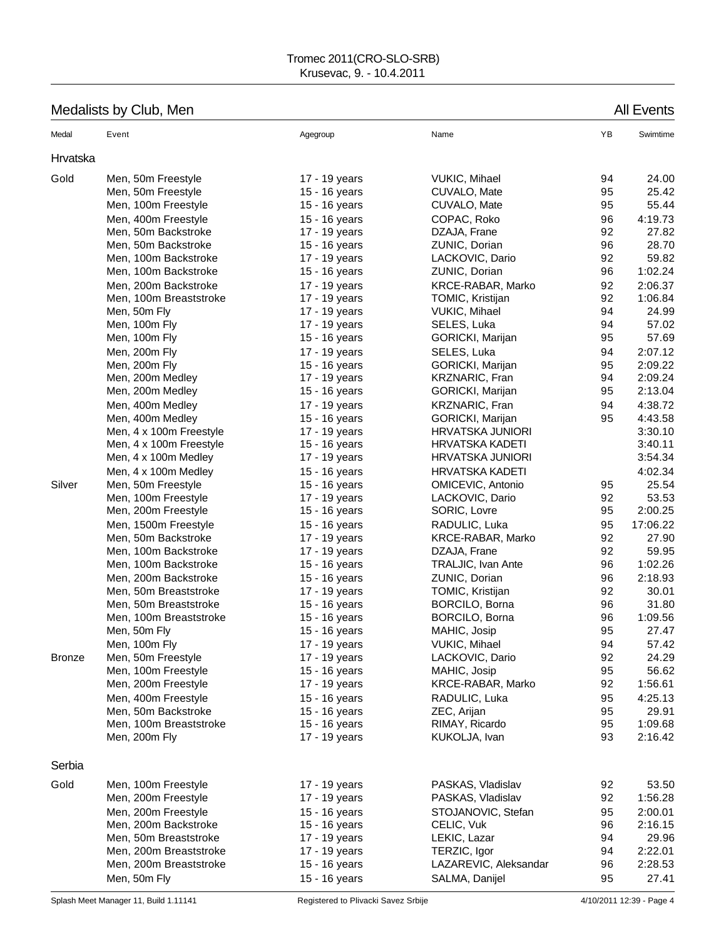## Medalists by Club, Men All Events

| Medal         | Event                   | Agegroup      | Name                      | ΥB | Swimtime |
|---------------|-------------------------|---------------|---------------------------|----|----------|
| Hrvatska      |                         |               |                           |    |          |
| Gold          | Men, 50m Freestyle      | 17 - 19 years | VUKIC, Mihael             | 94 | 24.00    |
|               | Men, 50m Freestyle      | 15 - 16 years | CUVALO, Mate              | 95 | 25.42    |
|               | Men, 100m Freestyle     | 15 - 16 years | CUVALO, Mate              | 95 | 55.44    |
|               | Men, 400m Freestyle     | 15 - 16 years | COPAC, Roko               | 96 | 4:19.73  |
|               | Men, 50m Backstroke     | 17 - 19 years | DZAJA, Frane              | 92 | 27.82    |
|               | Men, 50m Backstroke     | 15 - 16 years | ZUNIC, Dorian             | 96 | 28.70    |
|               | Men, 100m Backstroke    | 17 - 19 years | LACKOVIC, Dario           | 92 | 59.82    |
|               | Men, 100m Backstroke    | 15 - 16 years | ZUNIC, Dorian             | 96 | 1:02.24  |
|               | Men, 200m Backstroke    | 17 - 19 years | KRCE-RABAR, Marko         | 92 | 2:06.37  |
|               | Men, 100m Breaststroke  | 17 - 19 years | TOMIC, Kristijan          | 92 | 1:06.84  |
|               | Men, 50m Fly            | 17 - 19 years | VUKIC, Mihael             | 94 | 24.99    |
|               | Men, 100m Fly           | 17 - 19 years | SELES, Luka               | 94 | 57.02    |
|               | Men, 100m Fly           | 15 - 16 years | GORICKI, Marijan          | 95 | 57.69    |
|               | Men, 200m Fly           | 17 - 19 years | SELES, Luka               | 94 | 2:07.12  |
|               | Men, 200m Fly           | 15 - 16 years | GORICKI, Marijan          | 95 | 2:09.22  |
|               | Men, 200m Medley        | 17 - 19 years | KRZNARIC, Fran            | 94 | 2:09.24  |
|               | Men, 200m Medley        | 15 - 16 years | GORICKI, Marijan          | 95 | 2:13.04  |
|               | Men, 400m Medley        | 17 - 19 years | KRZNARIC, Fran            | 94 | 4:38.72  |
|               | Men, 400m Medley        | 15 - 16 years | GORICKI, Marijan          | 95 | 4:43.58  |
|               | Men, 4 x 100m Freestyle | 17 - 19 years | <b>HRVATSKA JUNIORI</b>   |    | 3:30.10  |
|               | Men, 4 x 100m Freestyle | 15 - 16 years | <b>HRVATSKA KADETI</b>    |    | 3:40.11  |
|               | Men, 4 x 100m Medley    | 17 - 19 years | <b>HRVATSKA JUNIORI</b>   |    | 3:54.34  |
|               | Men, 4 x 100m Medley    | 15 - 16 years | <b>HRVATSKA KADETI</b>    |    | 4:02.34  |
| Silver        | Men, 50m Freestyle      | 15 - 16 years | OMICEVIC, Antonio         | 95 | 25.54    |
|               | Men, 100m Freestyle     | 17 - 19 years | LACKOVIC, Dario           | 92 | 53.53    |
|               | Men, 200m Freestyle     | 15 - 16 years | SORIC, Lovre              | 95 | 2:00.25  |
|               | Men, 1500m Freestyle    | 15 - 16 years | RADULIC, Luka             | 95 | 17:06.22 |
|               | Men, 50m Backstroke     | 17 - 19 years | KRCE-RABAR, Marko         | 92 | 27.90    |
|               | Men, 100m Backstroke    | 17 - 19 years | DZAJA, Frane              | 92 | 59.95    |
|               | Men, 100m Backstroke    | 15 - 16 years | <b>TRALJIC, Ivan Ante</b> | 96 | 1:02.26  |
|               | Men, 200m Backstroke    | 15 - 16 years | ZUNIC, Dorian             | 96 | 2:18.93  |
|               | Men, 50m Breaststroke   | 17 - 19 years | TOMIC, Kristijan          | 92 | 30.01    |
|               | Men, 50m Breaststroke   | 15 - 16 years | BORCILO, Borna            | 96 | 31.80    |
|               | Men, 100m Breaststroke  | 15 - 16 years | BORCILO, Borna            | 96 | 1:09.56  |
|               | Men, 50m Fly            | 15 - 16 years | MAHIC, Josip              | 95 | 27.47    |
|               | Men, 100m Fly           | 17 - 19 years | <b>VUKIC, Mihael</b>      | 94 | 57.42    |
| <b>Bronze</b> | Men, 50m Freestyle      | 17 - 19 years | LACKOVIC, Dario           | 92 | 24.29    |
|               | Men, 100m Freestyle     | 15 - 16 years | MAHIC, Josip              | 95 | 56.62    |
|               | Men, 200m Freestyle     | 17 - 19 years | KRCE-RABAR, Marko         | 92 | 1:56.61  |
|               | Men, 400m Freestyle     | 15 - 16 years | RADULIC, Luka             | 95 | 4:25.13  |
|               | Men, 50m Backstroke     | 15 - 16 years | ZEC, Arijan               | 95 | 29.91    |
|               | Men, 100m Breaststroke  | 15 - 16 years | RIMAY, Ricardo            | 95 | 1:09.68  |
|               | Men, 200m Fly           | 17 - 19 years | KUKOLJA, Ivan             | 93 | 2:16.42  |
| Serbia        |                         |               |                           |    |          |
| Gold          | Men, 100m Freestyle     | 17 - 19 years | PASKAS, Vladislav         | 92 | 53.50    |
|               | Men, 200m Freestyle     | 17 - 19 years | PASKAS, Vladislav         | 92 | 1:56.28  |
|               | Men, 200m Freestyle     | 15 - 16 years | STOJANOVIC, Stefan        | 95 | 2:00.01  |
|               | Men, 200m Backstroke    | 15 - 16 years | CELIC, Vuk                | 96 | 2:16.15  |
|               | Men, 50m Breaststroke   | 17 - 19 years | LEKIC, Lazar              | 94 | 29.96    |
|               | Men, 200m Breaststroke  | 17 - 19 years | TERZIC, Igor              | 94 | 2:22.01  |
|               | Men, 200m Breaststroke  | 15 - 16 years | LAZAREVIC, Aleksandar     | 96 | 2:28.53  |
|               | Men, 50m Fly            | 15 - 16 years | SALMA, Danijel            | 95 | 27.41    |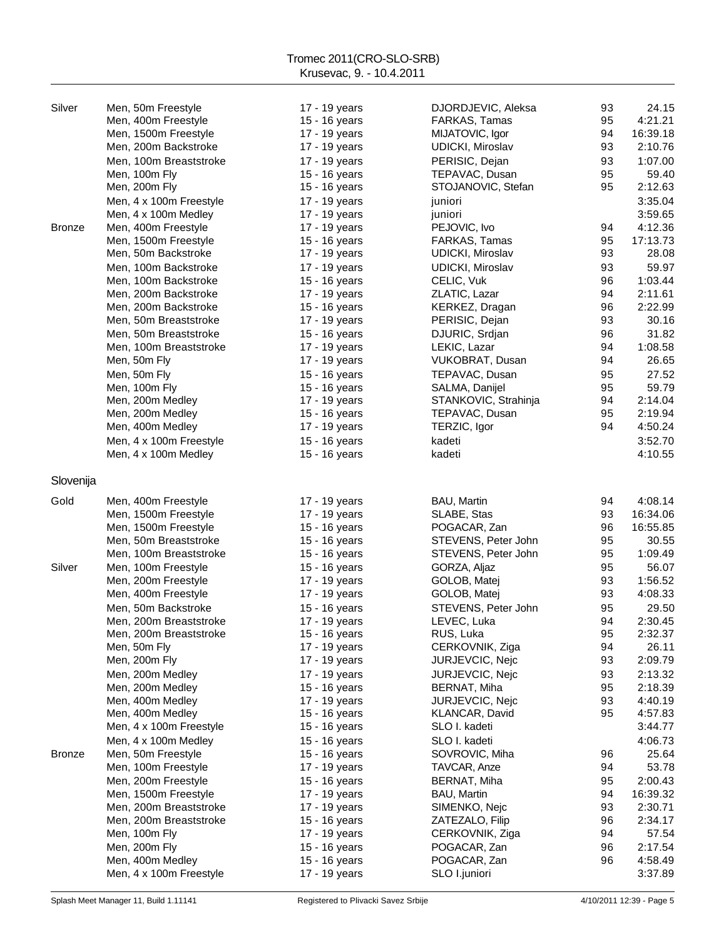| Silver        | Men, 50m Freestyle      | 17 - 19 years | DJORDJEVIC, Aleksa      | 93 | 24.15    |
|---------------|-------------------------|---------------|-------------------------|----|----------|
|               | Men, 400m Freestyle     | 15 - 16 years | FARKAS, Tamas           | 95 | 4:21.21  |
|               | Men, 1500m Freestyle    | 17 - 19 years | MIJATOVIC, Igor         | 94 | 16:39.18 |
|               | Men, 200m Backstroke    | 17 - 19 years | UDICKI, Miroslav        | 93 | 2:10.76  |
|               | Men, 100m Breaststroke  | 17 - 19 years | PERISIC, Dejan          | 93 | 1:07.00  |
|               |                         |               |                         |    |          |
|               | Men, 100m Fly           | 15 - 16 years | TEPAVAC, Dusan          | 95 | 59.40    |
|               | Men, 200m Fly           | 15 - 16 years | STOJANOVIC, Stefan      | 95 | 2:12.63  |
|               | Men, 4 x 100m Freestyle | 17 - 19 years | juniori                 |    | 3:35.04  |
|               | Men, 4 x 100m Medley    | 17 - 19 years | juniori                 |    | 3:59.65  |
| <b>Bronze</b> | Men, 400m Freestyle     | 17 - 19 years | PEJOVIC, Ivo            | 94 | 4:12.36  |
|               | Men, 1500m Freestyle    | 15 - 16 years | FARKAS, Tamas           | 95 | 17:13.73 |
|               | Men, 50m Backstroke     | 17 - 19 years | UDICKI, Miroslav        | 93 | 28.08    |
|               | Men, 100m Backstroke    | 17 - 19 years | <b>UDICKI, Miroslav</b> | 93 | 59.97    |
|               |                         |               |                         |    | 1:03.44  |
|               | Men, 100m Backstroke    | 15 - 16 years | CELIC, Vuk              | 96 |          |
|               | Men, 200m Backstroke    | 17 - 19 years | ZLATIC, Lazar           | 94 | 2:11.61  |
|               | Men, 200m Backstroke    | 15 - 16 years | KERKEZ, Dragan          | 96 | 2:22.99  |
|               | Men, 50m Breaststroke   | 17 - 19 years | PERISIC, Dejan          | 93 | 30.16    |
|               | Men, 50m Breaststroke   | 15 - 16 years | DJURIC, Srdjan          | 96 | 31.82    |
|               | Men, 100m Breaststroke  | 17 - 19 years | LEKIC, Lazar            | 94 | 1:08.58  |
|               | Men, 50m Fly            | 17 - 19 years | VUKOBRAT, Dusan         | 94 | 26.65    |
|               | Men, 50m Fly            | 15 - 16 years | TEPAVAC, Dusan          | 95 | 27.52    |
|               | Men, 100m Fly           | 15 - 16 years | SALMA, Danijel          | 95 | 59.79    |
|               |                         |               |                         | 94 | 2:14.04  |
|               | Men, 200m Medley        | 17 - 19 years | STANKOVIC, Strahinja    |    |          |
|               | Men, 200m Medley        | 15 - 16 years | TEPAVAC, Dusan          | 95 | 2:19.94  |
|               | Men, 400m Medley        | 17 - 19 years | TERZIC, Igor            | 94 | 4:50.24  |
|               | Men, 4 x 100m Freestyle | 15 - 16 years | kadeti                  |    | 3:52.70  |
|               | Men, 4 x 100m Medley    | 15 - 16 years | kadeti                  |    | 4:10.55  |
|               |                         |               |                         |    |          |
| Slovenija     |                         |               |                         |    |          |
|               |                         |               |                         |    |          |
| Gold          | Men, 400m Freestyle     | 17 - 19 years | BAU, Martin             | 94 | 4:08.14  |
|               | Men, 1500m Freestyle    | 17 - 19 years | SLABE, Stas             | 93 | 16:34.06 |
|               | Men, 1500m Freestyle    | 15 - 16 years | POGACAR, Zan            | 96 | 16:55.85 |
|               | Men, 50m Breaststroke   | 15 - 16 years | STEVENS, Peter John     | 95 | 30.55    |
|               | Men, 100m Breaststroke  | 15 - 16 years | STEVENS, Peter John     | 95 | 1:09.49  |
| Silver        | Men, 100m Freestyle     | 15 - 16 years | GORZA, Aljaz            | 95 | 56.07    |
|               |                         |               |                         |    | 1:56.52  |
|               | Men, 200m Freestyle     | 17 - 19 years | GOLOB, Matej            | 93 |          |
|               | Men, 400m Freestyle     | 17 - 19 years | GOLOB, Matej            | 93 | 4:08.33  |
|               | Men, 50m Backstroke     | 15 - 16 years | STEVENS, Peter John     | 95 | 29.50    |
|               | Men, 200m Breaststroke  | 17 - 19 years | LEVEC, Luka             | 94 | 2:30.45  |
|               | Men, 200m Breaststroke  | 15 - 16 years | RUS, Luka               | 95 | 2:32.37  |
|               | Men, 50m Fly            | 17 - 19 years | CERKOVNIK, Ziga         | 94 | 26.11    |
|               | Men, 200m Fly           | 17 - 19 years | JURJEVCIC, Nejc         | 93 | 2:09.79  |
|               | Men, 200m Medley        | 17 - 19 years | JURJEVCIC, Nejc         | 93 | 2:13.32  |
|               | Men, 200m Medley        | 15 - 16 years | BERNAT, Miha            | 95 | 2:18.39  |
|               |                         |               | JURJEVCIC, Nejc         |    |          |
|               | Men, 400m Medley        | 17 - 19 years |                         | 93 | 4:40.19  |
|               | Men, 400m Medley        | 15 - 16 years | KLANCAR, David          | 95 | 4:57.83  |
|               | Men, 4 x 100m Freestyle | 15 - 16 years | SLO I. kadeti           |    | 3:44.77  |
|               | Men, 4 x 100m Medley    | 15 - 16 years | SLO I. kadeti           |    | 4:06.73  |
| <b>Bronze</b> | Men, 50m Freestyle      | 15 - 16 years | SOVROVIC, Miha          | 96 | 25.64    |
|               | Men, 100m Freestyle     | 17 - 19 years | TAVCAR, Anze            | 94 | 53.78    |
|               | Men, 200m Freestyle     | 15 - 16 years | BERNAT, Miha            | 95 | 2:00.43  |
|               | Men, 1500m Freestyle    | 17 - 19 years | BAU, Martin             | 94 | 16:39.32 |
|               | Men, 200m Breaststroke  | 17 - 19 years | SIMENKO, Nejc           | 93 | 2:30.71  |
|               |                         | 15 - 16 years |                         |    | 2:34.17  |
|               | Men, 200m Breaststroke  |               | ZATEZALO, Filip         | 96 |          |
|               | Men, 100m Fly           | 17 - 19 years | CERKOVNIK, Ziga         | 94 | 57.54    |
|               | Men, 200m Fly           | 15 - 16 years | POGACAR, Zan            | 96 | 2:17.54  |
|               | Men, 400m Medley        | 15 - 16 years | POGACAR, Zan            | 96 | 4:58.49  |
|               | Men, 4 x 100m Freestyle | 17 - 19 years | SLO I.juniori           |    | 3:37.89  |